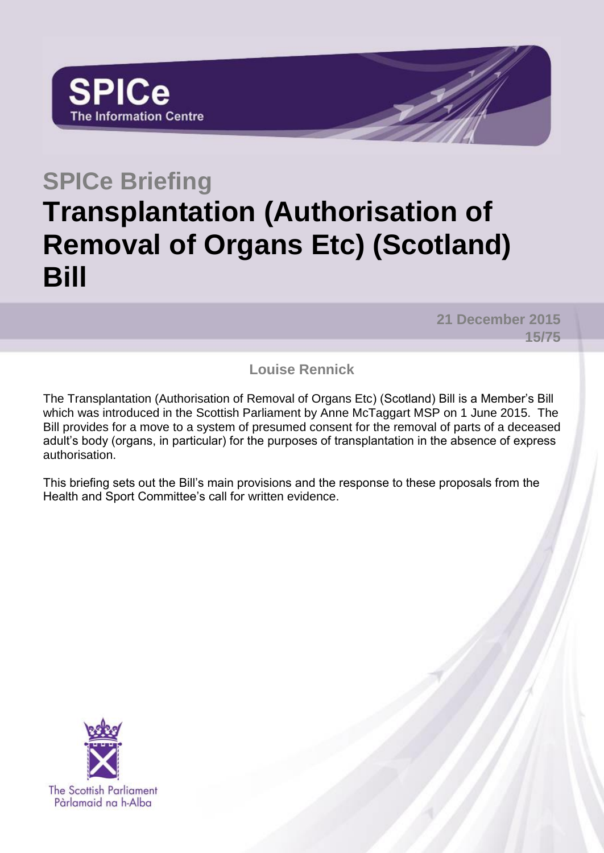# **SPICe Briefing Transplantation (Authorisation of Removal of Organs Etc) (Scotland) Bill**

**21 December 2015 15/75**

**Louise Rennick**

The Transplantation (Authorisation of Removal of Organs Etc) (Scotland) Bill is a Member's Bill which was introduced in the Scottish Parliament by Anne McTaggart MSP on 1 June 2015. The Bill provides for a move to a system of presumed consent for the removal of parts of a deceased adult's body (organs, in particular) for the purposes of transplantation in the absence of express authorisation.

This briefing sets out the Bill's main provisions and the response to these proposals from the Health and Sport Committee's call for written evidence.

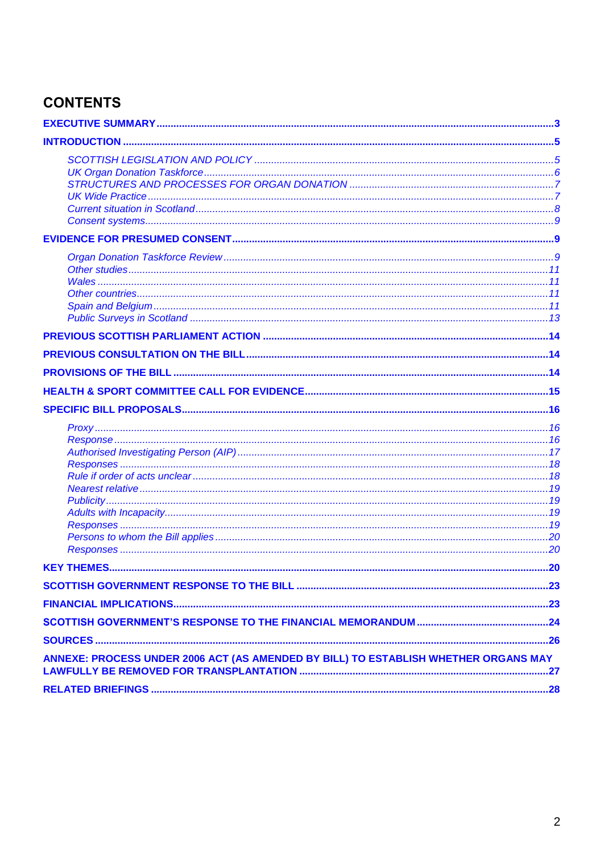# **CONTENTS**

| ANNEXE: PROCESS UNDER 2006 ACT (AS AMENDED BY BILL) TO ESTABLISH WHETHER ORGANS MAY |  |
|-------------------------------------------------------------------------------------|--|
|                                                                                     |  |
|                                                                                     |  |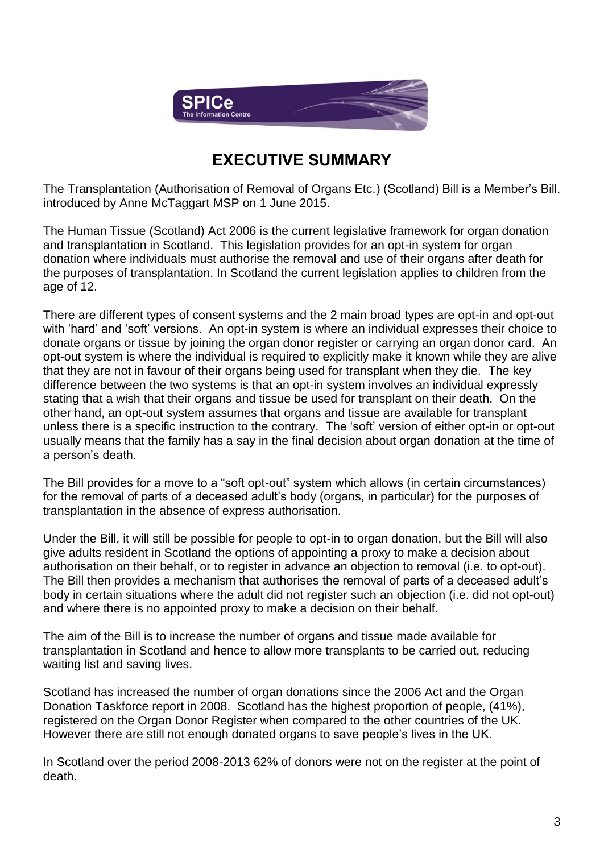

# **EXECUTIVE SUMMARY**

<span id="page-2-0"></span>The Transplantation (Authorisation of Removal of Organs Etc.) (Scotland) Bill is a Member's Bill, introduced by Anne McTaggart MSP on 1 June 2015.

The Human Tissue (Scotland) Act 2006 is the current legislative framework for organ donation and transplantation in Scotland. This legislation provides for an opt-in system for organ donation where individuals must authorise the removal and use of their organs after death for the purposes of transplantation. In Scotland the current legislation applies to children from the age of 12.

There are different types of consent systems and the 2 main broad types are opt-in and opt-out with 'hard' and 'soft' versions. An opt-in system is where an individual expresses their choice to donate organs or tissue by joining the organ donor register or carrying an organ donor card. An opt-out system is where the individual is required to explicitly make it known while they are alive that they are not in favour of their organs being used for transplant when they die. The key difference between the two systems is that an opt-in system involves an individual expressly stating that a wish that their organs and tissue be used for transplant on their death. On the other hand, an opt-out system assumes that organs and tissue are available for transplant unless there is a specific instruction to the contrary. The 'soft' version of either opt-in or opt-out usually means that the family has a say in the final decision about organ donation at the time of a person's death.

The Bill provides for a move to a "soft opt-out" system which allows (in certain circumstances) for the removal of parts of a deceased adult's body (organs, in particular) for the purposes of transplantation in the absence of express authorisation.

Under the Bill, it will still be possible for people to opt-in to organ donation, but the Bill will also give adults resident in Scotland the options of appointing a proxy to make a decision about authorisation on their behalf, or to register in advance an objection to removal (i.e. to opt-out). The Bill then provides a mechanism that authorises the removal of parts of a deceased adult's body in certain situations where the adult did not register such an objection (i.e. did not opt-out) and where there is no appointed proxy to make a decision on their behalf.

The aim of the Bill is to increase the number of organs and tissue made available for transplantation in Scotland and hence to allow more transplants to be carried out, reducing waiting list and saving lives.

Scotland has increased the number of organ donations since the 2006 Act and the Organ Donation Taskforce report in 2008. Scotland has the highest proportion of people, (41%), registered on the Organ Donor Register when compared to the other countries of the UK. However there are still not enough donated organs to save people's lives in the UK.

In Scotland over the period 2008-2013 62% of donors were not on the register at the point of death.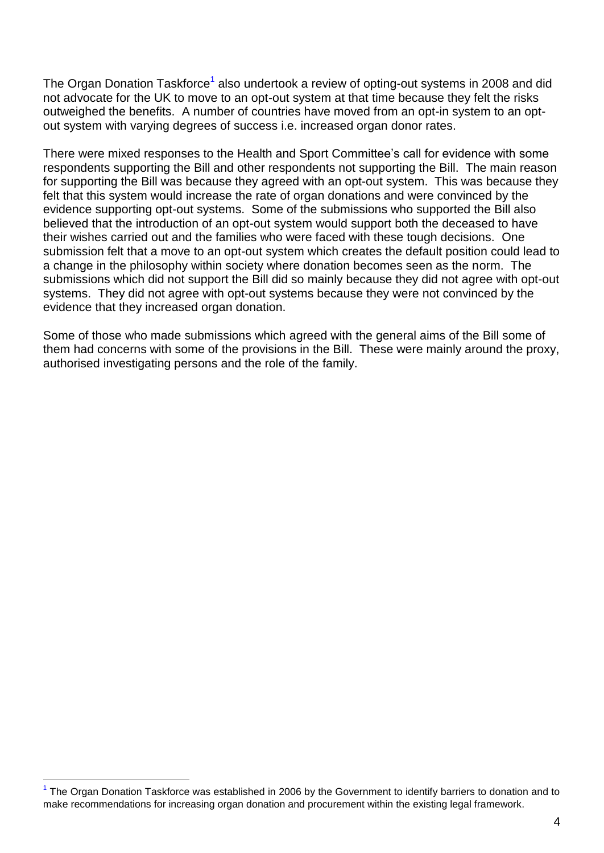The Organ Donation Taskforce<sup>1</sup> also undertook a review of opting-out systems in 2008 and did not advocate for the UK to move to an opt-out system at that time because they felt the risks outweighed the benefits. A number of countries have moved from an opt-in system to an optout system with varying degrees of success i.e. increased organ donor rates.

There were mixed responses to the Health and Sport Committee's call for evidence with some respondents supporting the Bill and other respondents not supporting the Bill. The main reason for supporting the Bill was because they agreed with an opt-out system. This was because they felt that this system would increase the rate of organ donations and were convinced by the evidence supporting opt-out systems. Some of the submissions who supported the Bill also believed that the introduction of an opt-out system would support both the deceased to have their wishes carried out and the families who were faced with these tough decisions. One submission felt that a move to an opt-out system which creates the default position could lead to a change in the philosophy within society where donation becomes seen as the norm. The submissions which did not support the Bill did so mainly because they did not agree with opt-out systems. They did not agree with opt-out systems because they were not convinced by the evidence that they increased organ donation.

Some of those who made submissions which agreed with the general aims of the Bill some of them had concerns with some of the provisions in the Bill. These were mainly around the proxy, authorised investigating persons and the role of the family.

 $\overline{a}$ 

<sup>&</sup>lt;sup>1</sup> The Organ Donation Taskforce was established in 2006 by the Government to identify barriers to donation and to make recommendations for increasing organ donation and procurement within the existing legal framework.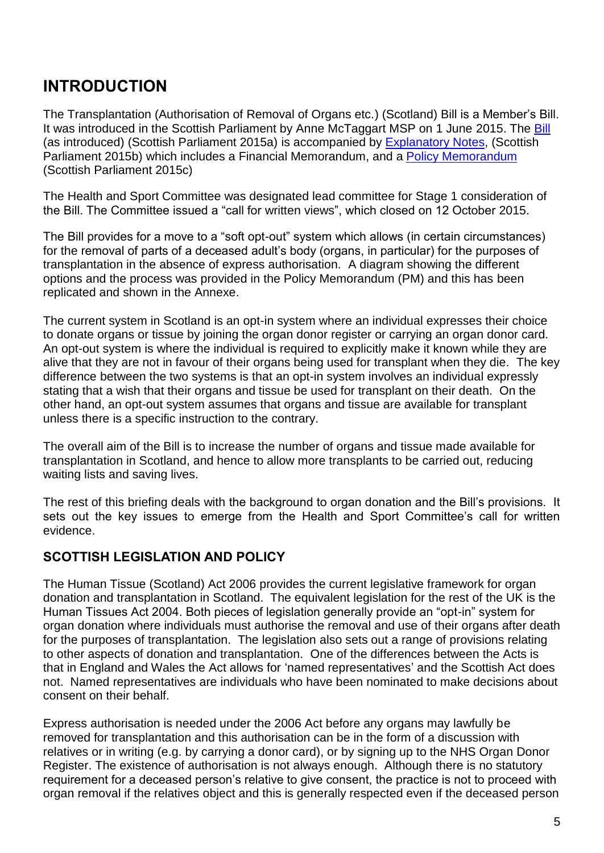# <span id="page-4-0"></span>**INTRODUCTION**

The Transplantation (Authorisation of Removal of Organs etc.) (Scotland) Bill is a Member's Bill. It was introduced in the Scottish Parliament by Anne McTaggart MSP on 1 June 2015. The [Bill](http://www.scottish.parliament.uk/S4_Bills/(1)Transplantation%20(Authorisation%20of%20Removal%20of%20Organs%20etc.)%20(Scotland)%20Bill/b72s4-introd-pm.pdf) (as introduced) (Scottish Parliament 2015a) is accompanied by [Explanatory Notes,](http://www.scottish.parliament.uk/S4_Bills/(1)Transplantation%20(Authorisation%20of%20Removal%20of%20Organs%20etc.)%20(Scotland)%20Bill/b72s4-introd-en.pdf) (Scottish Parliament 2015b) which includes a Financial Memorandum, and a [Policy Memorandum](http://www.scottish.parliament.uk/S4_Bills/(1)Transplantation%20(Authorisation%20of%20Removal%20of%20Organs%20etc.)%20(Scotland)%20Bill/b72s4-introd-pm.pdf) (Scottish Parliament 2015c)

The Health and Sport Committee was designated lead committee for Stage 1 consideration of the Bill. The Committee issued a "call for written views", which closed on 12 October 2015.

The Bill provides for a move to a "soft opt-out" system which allows (in certain circumstances) for the removal of parts of a deceased adult's body (organs, in particular) for the purposes of transplantation in the absence of express authorisation. A diagram showing the different options and the process was provided in the Policy Memorandum (PM) and this has been replicated and shown in the Annexe.

The current system in Scotland is an opt-in system where an individual expresses their choice to donate organs or tissue by joining the organ donor register or carrying an organ donor card. An opt-out system is where the individual is required to explicitly make it known while they are alive that they are not in favour of their organs being used for transplant when they die. The key difference between the two systems is that an opt-in system involves an individual expressly stating that a wish that their organs and tissue be used for transplant on their death. On the other hand, an opt-out system assumes that organs and tissue are available for transplant unless there is a specific instruction to the contrary.

The overall aim of the Bill is to increase the number of organs and tissue made available for transplantation in Scotland, and hence to allow more transplants to be carried out, reducing waiting lists and saving lives.

The rest of this briefing deals with the background to organ donation and the Bill's provisions. It sets out the key issues to emerge from the Health and Sport Committee's call for written evidence.

# <span id="page-4-1"></span>**SCOTTISH LEGISLATION AND POLICY**

The Human Tissue (Scotland) Act 2006 provides the current legislative framework for organ donation and transplantation in Scotland. The equivalent legislation for the rest of the UK is the Human Tissues Act 2004. Both pieces of legislation generally provide an "opt-in" system for organ donation where individuals must authorise the removal and use of their organs after death for the purposes of transplantation. The legislation also sets out a range of provisions relating to other aspects of donation and transplantation. One of the differences between the Acts is that in England and Wales the Act allows for 'named representatives' and the Scottish Act does not. Named representatives are individuals who have been nominated to make decisions about consent on their behalf.

Express authorisation is needed under the 2006 Act before any organs may lawfully be removed for transplantation and this authorisation can be in the form of a discussion with relatives or in writing (e.g. by carrying a donor card), or by signing up to the NHS Organ Donor Register. The existence of authorisation is not always enough. Although there is no statutory requirement for a deceased person's relative to give consent, the practice is not to proceed with organ removal if the relatives object and this is generally respected even if the deceased person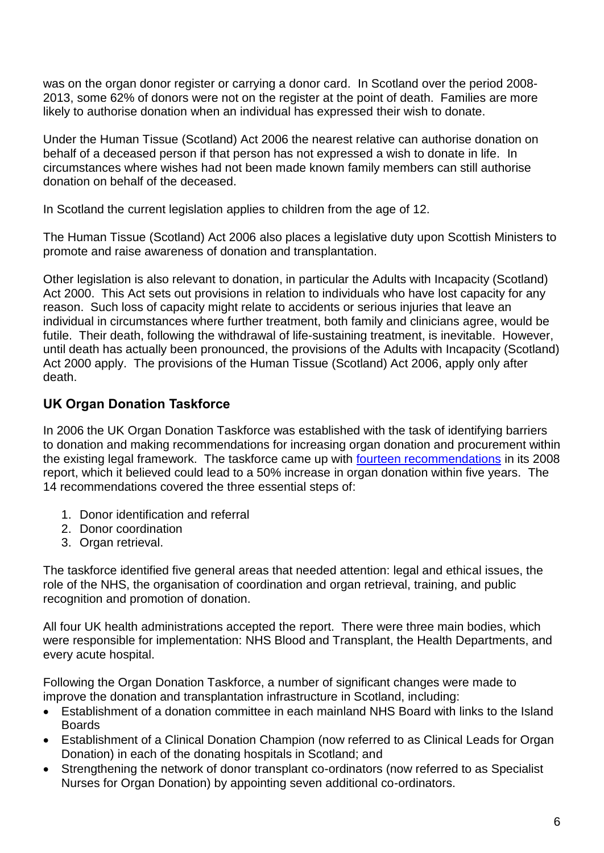was on the organ donor register or carrying a donor card. In Scotland over the period 2008- 2013, some 62% of donors were not on the register at the point of death. Families are more likely to authorise donation when an individual has expressed their wish to donate.

Under the Human Tissue (Scotland) Act 2006 the nearest relative can authorise donation on behalf of a deceased person if that person has not expressed a wish to donate in life. In circumstances where wishes had not been made known family members can still authorise donation on behalf of the deceased.

In Scotland the current legislation applies to children from the age of 12.

The Human Tissue (Scotland) Act 2006 also places a legislative duty upon Scottish Ministers to promote and raise awareness of donation and transplantation.

Other legislation is also relevant to donation, in particular the Adults with Incapacity (Scotland) Act 2000. This Act sets out provisions in relation to individuals who have lost capacity for any reason. Such loss of capacity might relate to accidents or serious injuries that leave an individual in circumstances where further treatment, both family and clinicians agree, would be futile. Their death, following the withdrawal of life-sustaining treatment, is inevitable. However, until death has actually been pronounced, the provisions of the Adults with Incapacity (Scotland) Act 2000 apply. The provisions of the Human Tissue (Scotland) Act 2006, apply only after death.

# <span id="page-5-0"></span>**UK Organ Donation Taskforce**

In 2006 the UK Organ Donation Taskforce was established with the task of identifying barriers to donation and making recommendations for increasing organ donation and procurement within the existing legal framework. The taskforce came up with [fourteen recommendations](http://www.bts.org.uk/Documents/Publications/Organs%20for%20transplants%20-%20The%20Organ%20Donor%20Task%20Force%201st%20report.pdf) in its 2008 report, which it believed could lead to a 50% increase in organ donation within five years. The 14 recommendations covered the three essential steps of:

- 1. Donor identification and referral
- 2. Donor coordination
- 3. Organ retrieval.

The taskforce identified five general areas that needed attention: legal and ethical issues, the role of the NHS, the organisation of coordination and organ retrieval, training, and public recognition and promotion of donation.

All four UK health administrations accepted the report. There were three main bodies, which were responsible for implementation: NHS Blood and Transplant, the Health Departments, and every acute hospital.

Following the Organ Donation Taskforce, a number of significant changes were made to improve the donation and transplantation infrastructure in Scotland, including:

- Establishment of a donation committee in each mainland NHS Board with links to the Island Boards
- Establishment of a Clinical Donation Champion (now referred to as Clinical Leads for Organ Donation) in each of the donating hospitals in Scotland; and
- Strengthening the network of donor transplant co-ordinators (now referred to as Specialist Nurses for Organ Donation) by appointing seven additional co-ordinators.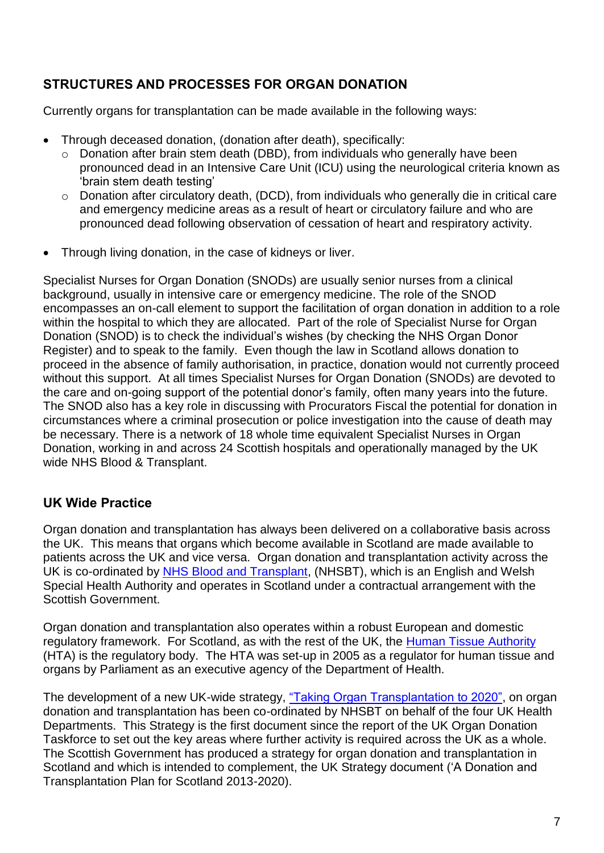# <span id="page-6-0"></span>**STRUCTURES AND PROCESSES FOR ORGAN DONATION**

Currently organs for transplantation can be made available in the following ways:

- Through deceased donation, (donation after death), specifically:
	- o Donation after brain stem death (DBD), from individuals who generally have been pronounced dead in an Intensive Care Unit (ICU) using the neurological criteria known as 'brain stem death testing'
	- o Donation after circulatory death, (DCD), from individuals who generally die in critical care and emergency medicine areas as a result of heart or circulatory failure and who are pronounced dead following observation of cessation of heart and respiratory activity.
- Through living donation, in the case of kidneys or liver.

Specialist Nurses for Organ Donation (SNODs) are usually senior nurses from a clinical background, usually in intensive care or emergency medicine. The role of the SNOD encompasses an on-call element to support the facilitation of organ donation in addition to a role within the hospital to which they are allocated. Part of the role of Specialist Nurse for Organ Donation (SNOD) is to check the individual's wishes (by checking the NHS Organ Donor Register) and to speak to the family. Even though the law in Scotland allows donation to proceed in the absence of family authorisation, in practice, donation would not currently proceed without this support. At all times Specialist Nurses for Organ Donation (SNODs) are devoted to the care and on-going support of the potential donor's family, often many years into the future. The SNOD also has a key role in discussing with Procurators Fiscal the potential for donation in circumstances where a criminal prosecution or police investigation into the cause of death may be necessary. There is a network of 18 whole time equivalent Specialist Nurses in Organ Donation, working in and across 24 Scottish hospitals and operationally managed by the UK wide NHS Blood & Transplant.

### <span id="page-6-1"></span>**UK Wide Practice**

Organ donation and transplantation has always been delivered on a collaborative basis across the UK. This means that organs which become available in Scotland are made available to patients across the UK and vice versa. Organ donation and transplantation activity across the UK is co-ordinated by [NHS Blood and Transplant,](http://www.nhsbt.nhs.uk/) (NHSBT), which is an English and Welsh Special Health Authority and operates in Scotland under a contractual arrangement with the Scottish Government.

Organ donation and transplantation also operates within a robust European and domestic regulatory framework. For Scotland, as with the rest of the UK, the [Human Tissue Authority](https://www.hta.gov.uk/) (HTA) is the regulatory body. The HTA was set-up in 2005 as a regulator for human tissue and organs by Parliament as an executive agency of the Department of Health.

The development of a new UK-wide strategy, ["Taking Organ Transplantation to 2020",](http://www.nhsbt.nhs.uk/to2020/resources/nhsbt_organ_donor_strategy_long.pdf) on organ donation and transplantation has been co-ordinated by NHSBT on behalf of the four UK Health Departments. This Strategy is the first document since the report of the UK Organ Donation Taskforce to set out the key areas where further activity is required across the UK as a whole. The Scottish Government has produced a strategy for organ donation and transplantation in Scotland and which is intended to complement, the UK Strategy document ('A Donation and Transplantation Plan for Scotland 2013-2020).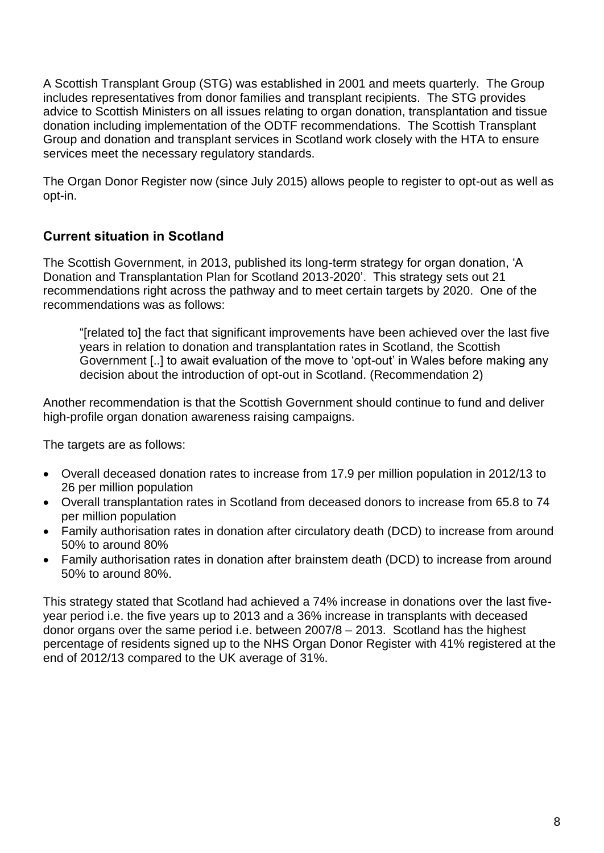A Scottish Transplant Group (STG) was established in 2001 and meets quarterly. The Group includes representatives from donor families and transplant recipients. The STG provides advice to Scottish Ministers on all issues relating to organ donation, transplantation and tissue donation including implementation of the ODTF recommendations. The Scottish Transplant Group and donation and transplant services in Scotland work closely with the HTA to ensure services meet the necessary regulatory standards.

The Organ Donor Register now (since July 2015) allows people to register to opt-out as well as opt-in.

# <span id="page-7-0"></span>**Current situation in Scotland**

The Scottish Government, in 2013, published its long-term strategy for organ donation, 'A Donation and Transplantation Plan for Scotland 2013-2020'. This strategy sets out 21 recommendations right across the pathway and to meet certain targets by 2020. One of the recommendations was as follows:

"[related to] the fact that significant improvements have been achieved over the last five years in relation to donation and transplantation rates in Scotland, the Scottish Government [..] to await evaluation of the move to 'opt-out' in Wales before making any decision about the introduction of opt-out in Scotland. (Recommendation 2)

Another recommendation is that the Scottish Government should continue to fund and deliver high-profile organ donation awareness raising campaigns.

The targets are as follows:

- Overall deceased donation rates to increase from 17.9 per million population in 2012/13 to 26 per million population
- Overall transplantation rates in Scotland from deceased donors to increase from 65.8 to 74 per million population
- Family authorisation rates in donation after circulatory death (DCD) to increase from around 50% to around 80%
- Family authorisation rates in donation after brainstem death (DCD) to increase from around 50% to around 80%.

This strategy stated that Scotland had achieved a 74% increase in donations over the last fiveyear period i.e. the five years up to 2013 and a 36% increase in transplants with deceased donor organs over the same period i.e. between 2007/8 – 2013. Scotland has the highest percentage of residents signed up to the NHS Organ Donor Register with 41% registered at the end of 2012/13 compared to the UK average of 31%.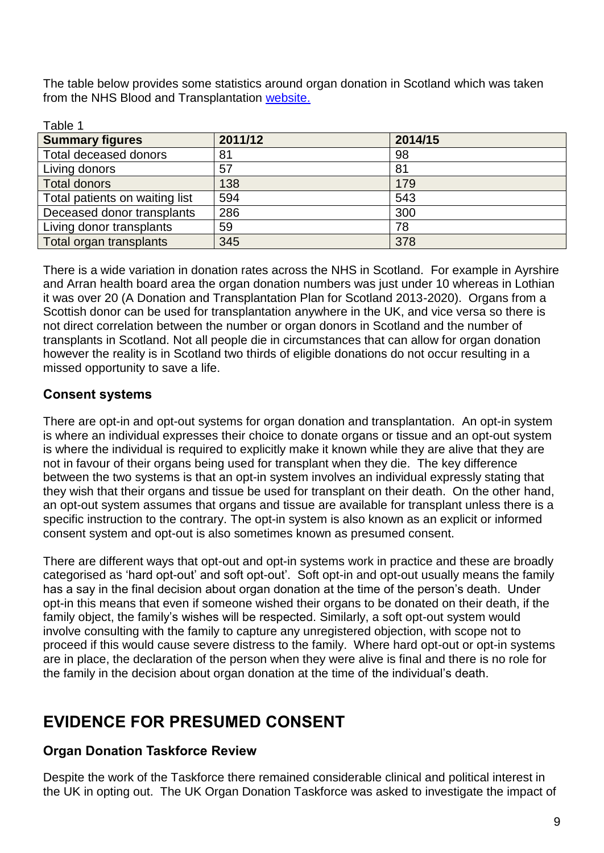The table below provides some statistics around organ donation in Scotland which was taken from the NHS Blood and Transplantation [website.](https://www.organdonation.nhs.uk/statistics/)

| Table 1                        |         |         |
|--------------------------------|---------|---------|
| <b>Summary figures</b>         | 2011/12 | 2014/15 |
| Total deceased donors          | 81      | 98      |
| Living donors                  | 57      | 81      |
| <b>Total donors</b>            | 138     | 179     |
| Total patients on waiting list | 594     | 543     |
| Deceased donor transplants     | 286     | 300     |
| Living donor transplants       | 59      | 78      |
| Total organ transplants        | 345     | 378     |

There is a wide variation in donation rates across the NHS in Scotland. For example in Ayrshire and Arran health board area the organ donation numbers was just under 10 whereas in Lothian it was over 20 (A Donation and Transplantation Plan for Scotland 2013-2020). Organs from a Scottish donor can be used for transplantation anywhere in the UK, and vice versa so there is not direct correlation between the number or organ donors in Scotland and the number of transplants in Scotland. Not all people die in circumstances that can allow for organ donation however the reality is in Scotland two thirds of eligible donations do not occur resulting in a missed opportunity to save a life.

# <span id="page-8-0"></span>**Consent systems**

There are opt-in and opt-out systems for organ donation and transplantation. An opt-in system is where an individual expresses their choice to donate organs or tissue and an opt-out system is where the individual is required to explicitly make it known while they are alive that they are not in favour of their organs being used for transplant when they die. The key difference between the two systems is that an opt-in system involves an individual expressly stating that they wish that their organs and tissue be used for transplant on their death. On the other hand, an opt-out system assumes that organs and tissue are available for transplant unless there is a specific instruction to the contrary. The opt-in system is also known as an explicit or informed consent system and opt-out is also sometimes known as presumed consent.

There are different ways that opt-out and opt-in systems work in practice and these are broadly categorised as 'hard opt-out' and soft opt-out'. Soft opt-in and opt-out usually means the family has a say in the final decision about organ donation at the time of the person's death. Under opt-in this means that even if someone wished their organs to be donated on their death, if the family object, the family's wishes will be respected. Similarly, a soft opt-out system would involve consulting with the family to capture any unregistered objection, with scope not to proceed if this would cause severe distress to the family. Where hard opt-out or opt-in systems are in place, the declaration of the person when they were alive is final and there is no role for the family in the decision about organ donation at the time of the individual's death.

# <span id="page-8-1"></span>**EVIDENCE FOR PRESUMED CONSENT**

# <span id="page-8-2"></span>**Organ Donation Taskforce Review**

Despite the work of the Taskforce there remained considerable clinical and political interest in the UK in opting out. The UK Organ Donation Taskforce was asked to investigate the impact of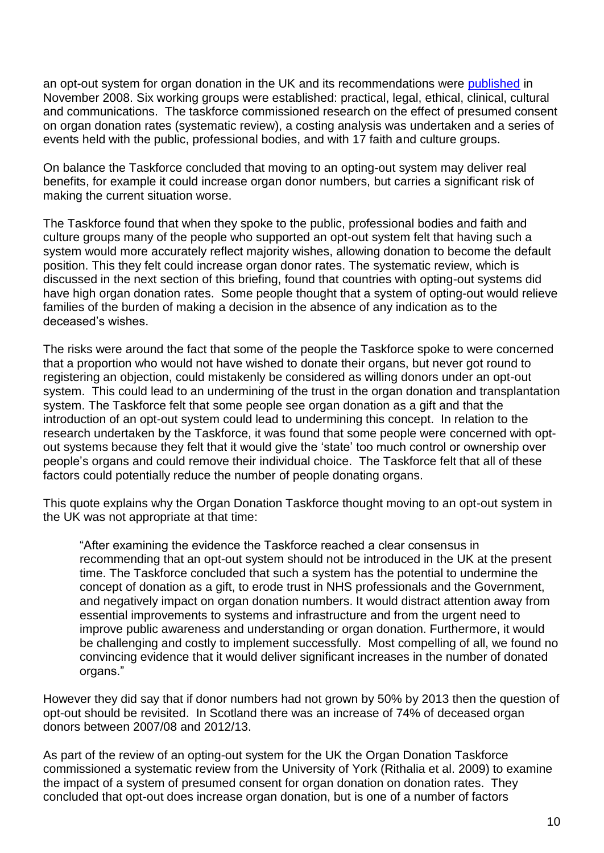an opt-out system for organ donation in the UK and its recommendations were [published](http://www.nhsbt.nhs.uk/to2020/resources/ThepotentialimpactofanoptoutsystemfororgandonationintheUK.pdf) in November 2008. Six working groups were established: practical, legal, ethical, clinical, cultural and communications. The taskforce commissioned research on the effect of presumed consent on organ donation rates (systematic review), a costing analysis was undertaken and a series of events held with the public, professional bodies, and with 17 faith and culture groups.

On balance the Taskforce concluded that moving to an opting-out system may deliver real benefits, for example it could increase organ donor numbers, but carries a significant risk of making the current situation worse.

The Taskforce found that when they spoke to the public, professional bodies and faith and culture groups many of the people who supported an opt-out system felt that having such a system would more accurately reflect majority wishes, allowing donation to become the default position. This they felt could increase organ donor rates. The systematic review, which is discussed in the next section of this briefing, found that countries with opting-out systems did have high organ donation rates. Some people thought that a system of opting-out would relieve families of the burden of making a decision in the absence of any indication as to the deceased's wishes.

The risks were around the fact that some of the people the Taskforce spoke to were concerned that a proportion who would not have wished to donate their organs, but never got round to registering an objection, could mistakenly be considered as willing donors under an opt-out system. This could lead to an undermining of the trust in the organ donation and transplantation system. The Taskforce felt that some people see organ donation as a gift and that the introduction of an opt-out system could lead to undermining this concept. In relation to the research undertaken by the Taskforce, it was found that some people were concerned with optout systems because they felt that it would give the 'state' too much control or ownership over people's organs and could remove their individual choice. The Taskforce felt that all of these factors could potentially reduce the number of people donating organs.

This quote explains why the Organ Donation Taskforce thought moving to an opt-out system in the UK was not appropriate at that time:

"After examining the evidence the Taskforce reached a clear consensus in recommending that an opt-out system should not be introduced in the UK at the present time. The Taskforce concluded that such a system has the potential to undermine the concept of donation as a gift, to erode trust in NHS professionals and the Government, and negatively impact on organ donation numbers. It would distract attention away from essential improvements to systems and infrastructure and from the urgent need to improve public awareness and understanding or organ donation. Furthermore, it would be challenging and costly to implement successfully. Most compelling of all, we found no convincing evidence that it would deliver significant increases in the number of donated organs."

However they did say that if donor numbers had not grown by 50% by 2013 then the question of opt-out should be revisited. In Scotland there was an increase of 74% of deceased organ donors between 2007/08 and 2012/13.

As part of the review of an opting-out system for the UK the Organ Donation Taskforce commissioned a systematic review from the University of York (Rithalia et al. 2009) to examine the impact of a system of presumed consent for organ donation on donation rates. They concluded that opt-out does increase organ donation, but is one of a number of factors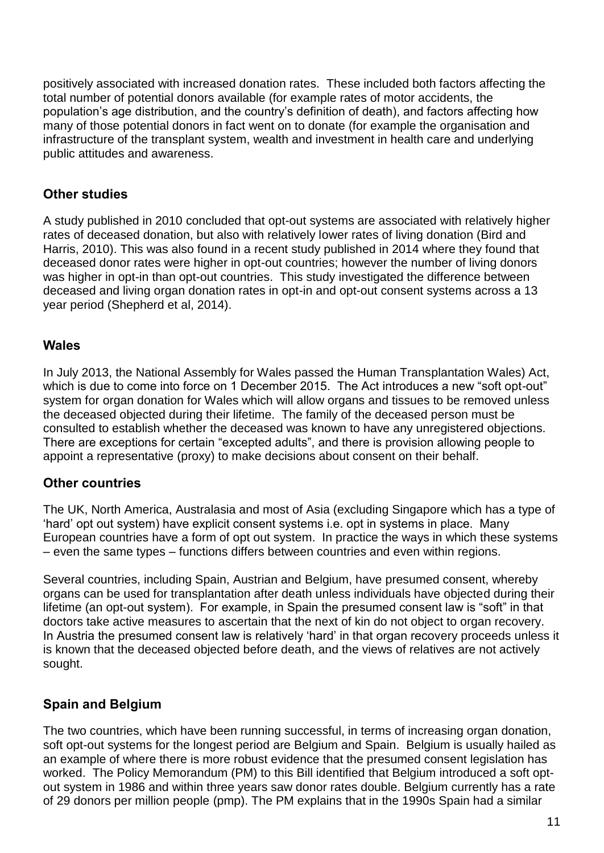positively associated with increased donation rates. These included both factors affecting the total number of potential donors available (for example rates of motor accidents, the population's age distribution, and the country's definition of death), and factors affecting how many of those potential donors in fact went on to donate (for example the organisation and infrastructure of the transplant system, wealth and investment in health care and underlying public attitudes and awareness.

### <span id="page-10-0"></span>**Other studies**

A study published in 2010 concluded that opt-out systems are associated with relatively higher rates of deceased donation, but also with relatively lower rates of living donation (Bird and Harris, 2010). This was also found in a recent study published in 2014 where they found that deceased donor rates were higher in opt-out countries; however the number of living donors was higher in opt-in than opt-out countries. This study investigated the difference between deceased and living organ donation rates in opt-in and opt-out consent systems across a 13 year period (Shepherd et al, 2014).

### <span id="page-10-1"></span>**Wales**

In July 2013, the National Assembly for Wales passed the Human Transplantation Wales) Act, which is due to come into force on 1 December 2015. The Act introduces a new "soft opt-out" system for organ donation for Wales which will allow organs and tissues to be removed unless the deceased objected during their lifetime. The family of the deceased person must be consulted to establish whether the deceased was known to have any unregistered objections. There are exceptions for certain "excepted adults", and there is provision allowing people to appoint a representative (proxy) to make decisions about consent on their behalf.

### <span id="page-10-2"></span>**Other countries**

The UK, North America, Australasia and most of Asia (excluding Singapore which has a type of 'hard' opt out system) have explicit consent systems i.e. opt in systems in place. Many European countries have a form of opt out system. In practice the ways in which these systems – even the same types – functions differs between countries and even within regions.

Several countries, including Spain, Austrian and Belgium, have presumed consent, whereby organs can be used for transplantation after death unless individuals have objected during their lifetime (an opt-out system). For example, in Spain the presumed consent law is "soft" in that doctors take active measures to ascertain that the next of kin do not object to organ recovery. In Austria the presumed consent law is relatively 'hard' in that organ recovery proceeds unless it is known that the deceased objected before death, and the views of relatives are not actively sought.

# <span id="page-10-3"></span>**Spain and Belgium**

The two countries, which have been running successful, in terms of increasing organ donation, soft opt-out systems for the longest period are Belgium and Spain. Belgium is usually hailed as an example of where there is more robust evidence that the presumed consent legislation has worked. The Policy Memorandum (PM) to this Bill identified that Belgium introduced a soft optout system in 1986 and within three years saw donor rates double. Belgium currently has a rate of 29 donors per million people (pmp). The PM explains that in the 1990s Spain had a similar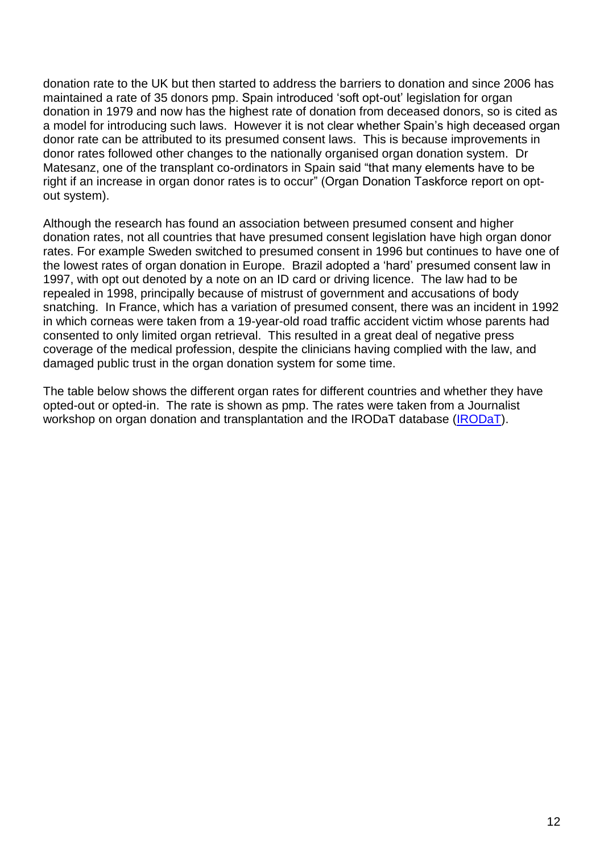donation rate to the UK but then started to address the barriers to donation and since 2006 has maintained a rate of 35 donors pmp. Spain introduced 'soft opt-out' legislation for organ donation in 1979 and now has the highest rate of donation from deceased donors, so is cited as a model for introducing such laws. However it is not clear whether Spain's high deceased organ donor rate can be attributed to its presumed consent laws. This is because improvements in donor rates followed other changes to the nationally organised organ donation system. Dr Matesanz, one of the transplant co-ordinators in Spain said "that many elements have to be right if an increase in organ donor rates is to occur" (Organ Donation Taskforce report on optout system).

Although the research has found an association between presumed consent and higher donation rates, not all countries that have presumed consent legislation have high organ donor rates. For example Sweden switched to presumed consent in 1996 but continues to have one of the lowest rates of organ donation in Europe. Brazil adopted a 'hard' presumed consent law in 1997, with opt out denoted by a note on an ID card or driving licence. The law had to be repealed in 1998, principally because of mistrust of government and accusations of body snatching. In France, which has a variation of presumed consent, there was an incident in 1992 in which corneas were taken from a 19-year-old road traffic accident victim whose parents had consented to only limited organ retrieval. This resulted in a great deal of negative press coverage of the medical profession, despite the clinicians having complied with the law, and damaged public trust in the organ donation system for some time.

The table below shows the different organ rates for different countries and whether they have opted-out or opted-in. The rate is shown as pmp. The rates were taken from a Journalist workshop on organ donation and transplantation and the IRODaT database [\(IRODaT\)](http://www.irodat.org/).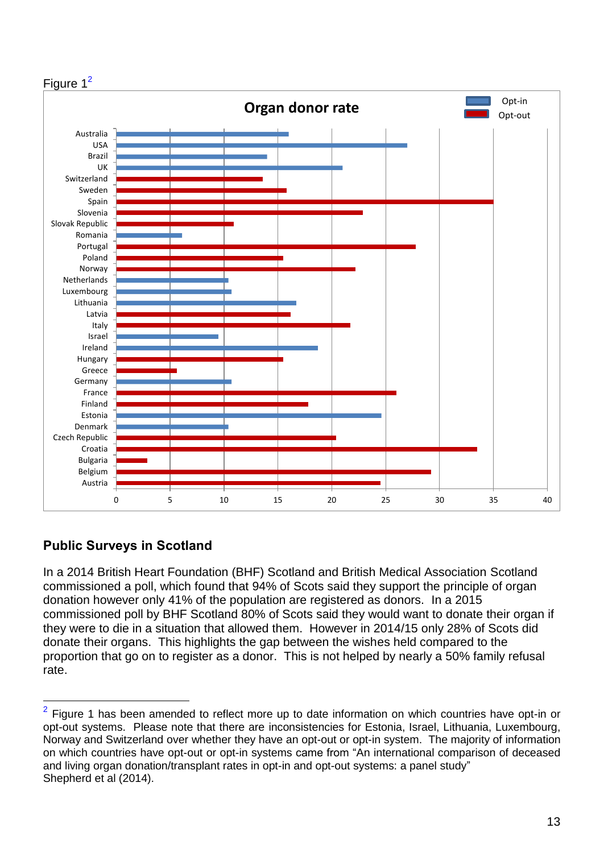

# <span id="page-12-0"></span>**Public Surveys in Scotland**

l

In a 2014 British Heart Foundation (BHF) Scotland and British Medical Association Scotland commissioned a poll, which found that 94% of Scots said they support the principle of organ donation however only 41% of the population are registered as donors. In a 2015 commissioned poll by BHF Scotland 80% of Scots said they would want to donate their organ if they were to die in a situation that allowed them. However in 2014/15 only 28% of Scots did donate their organs. This highlights the gap between the wishes held compared to the proportion that go on to register as a donor. This is not helped by nearly a 50% family refusal rate.

<sup>2</sup> Figure 1 has been amended to reflect more up to date information on which countries have opt-in or opt-out systems. Please note that there are inconsistencies for Estonia, Israel, Lithuania, Luxembourg, Norway and Switzerland over whether they have an opt-out or opt-in system. The majority of information on which countries have opt-out or opt-in systems came from "An international comparison of deceased and living organ donation/transplant rates in opt-in and opt-out systems: a panel study" Shepherd et al (2014).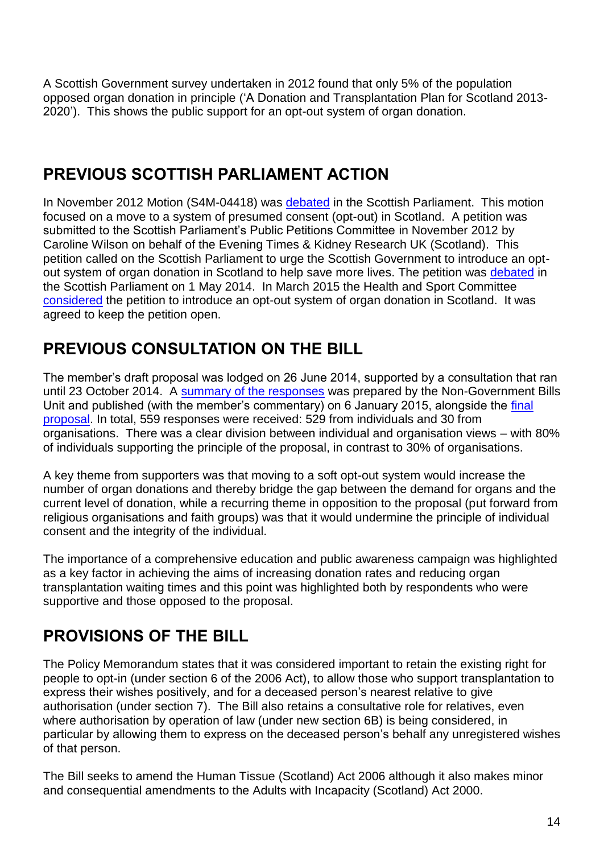A Scottish Government survey undertaken in 2012 found that only 5% of the population opposed organ donation in principle ('A Donation and Transplantation Plan for Scotland 2013- 2020'). This shows the public support for an opt-out system of organ donation.

# <span id="page-13-0"></span>**PREVIOUS SCOTTISH PARLIAMENT ACTION**

In November 2012 Motion (S4M-04418) was [debated](http://www.scottish.parliament.uk/parliamentarybusiness/report.aspx?r=7478&mode.pdf) in the Scottish Parliament. This motion focused on a move to a system of presumed consent (opt-out) in Scotland. A petition was submitted to the Scottish Parliament's Public Petitions Committee in November 2012 by Caroline Wilson on behalf of the Evening Times & Kidney Research UK (Scotland). This petition called on the Scottish Parliament to urge the Scottish Government to introduce an optout system of organ donation in Scotland to help save more lives. The petition was [debated](http://www.scottish.parliament.uk/parliamentarybusiness/report.aspx?r=9137&mode.pdf) in the Scottish Parliament on 1 May 2014. In March 2015 the Health and Sport Committee [considered](http://www.scottish.parliament.uk/parliamentarybusiness/report.aspx?r=9835&i=90178#ScotParlOR) the petition to introduce an opt-out system of organ donation in Scotland. It was agreed to keep the petition open.

# <span id="page-13-1"></span>**PREVIOUS CONSULTATION ON THE BILL**

The member's draft proposal was lodged on 26 June 2014, supported by a consultation that ran until 23 October 2014. A [summary of the responses](https://www.annemctaggartmsp.files.wordpress.com/2014/10/consultation-summary-final.pdf) was prepared by the Non-Government Bills Unit and published (with the member's commentary) on 6 January 2015, alongside the [final](http://www.scottish.parliament.uk/S4_MembersBills/Organ_Donation_Consultation_Document.pdf)  [proposal.](http://www.scottish.parliament.uk/S4_MembersBills/Organ_Donation_Consultation_Document.pdf) In total, 559 responses were received: 529 from individuals and 30 from organisations. There was a clear division between individual and organisation views – with 80% of individuals supporting the principle of the proposal, in contrast to 30% of organisations.

A key theme from supporters was that moving to a soft opt-out system would increase the number of organ donations and thereby bridge the gap between the demand for organs and the current level of donation, while a recurring theme in opposition to the proposal (put forward from religious organisations and faith groups) was that it would undermine the principle of individual consent and the integrity of the individual.

The importance of a comprehensive education and public awareness campaign was highlighted as a key factor in achieving the aims of increasing donation rates and reducing organ transplantation waiting times and this point was highlighted both by respondents who were supportive and those opposed to the proposal.

# <span id="page-13-2"></span>**PROVISIONS OF THE BILL**

The Policy Memorandum states that it was considered important to retain the existing right for people to opt-in (under section 6 of the 2006 Act), to allow those who support transplantation to express their wishes positively, and for a deceased person's nearest relative to give authorisation (under section 7). The Bill also retains a consultative role for relatives, even where authorisation by operation of law (under new section 6B) is being considered, in particular by allowing them to express on the deceased person's behalf any unregistered wishes of that person.

The Bill seeks to amend the Human Tissue (Scotland) Act 2006 although it also makes minor and consequential amendments to the Adults with Incapacity (Scotland) Act 2000.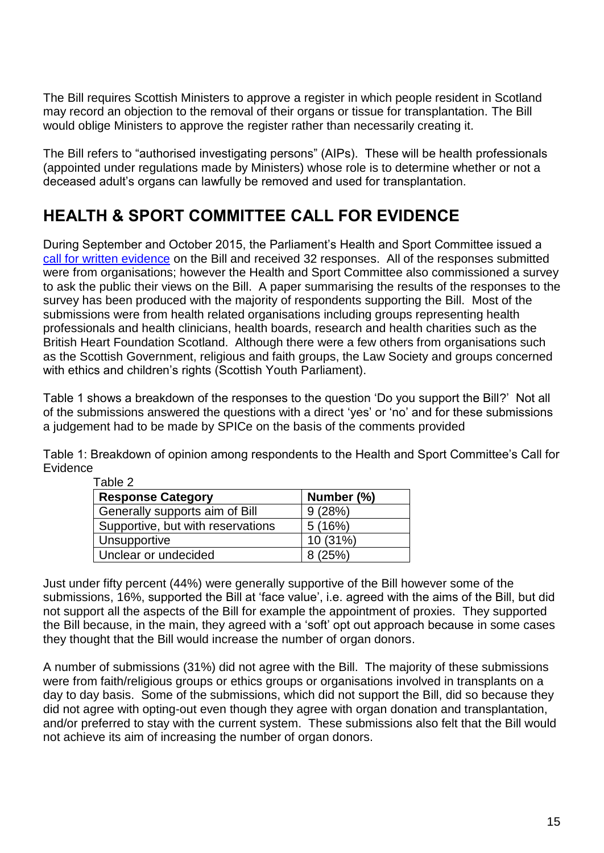The Bill requires Scottish Ministers to approve a register in which people resident in Scotland may record an objection to the removal of their organs or tissue for transplantation. The Bill would oblige Ministers to approve the register rather than necessarily creating it.

The Bill refers to "authorised investigating persons" (AIPs). These will be health professionals (appointed under regulations made by Ministers) whose role is to determine whether or not a deceased adult's organs can lawfully be removed and used for transplantation.

# <span id="page-14-0"></span>**HEALTH & SPORT COMMITTEE CALL FOR EVIDENCE**

During September and October 2015, the Parliament's Health and Sport Committee issued a [call for written evidence](http://www.scottish.parliament.uk/parliamentarybusiness/CurrentCommittees/91948.aspx) on the Bill and received 32 responses. All of the responses submitted were from organisations; however the Health and Sport Committee also commissioned a survey to ask the public their views on the Bill. A paper summarising the results of the responses to the survey has been produced with the majority of respondents supporting the Bill. Most of the submissions were from health related organisations including groups representing health professionals and health clinicians, health boards, research and health charities such as the British Heart Foundation Scotland. Although there were a few others from organisations such as the Scottish Government, religious and faith groups, the Law Society and groups concerned with ethics and children's rights (Scottish Youth Parliament).

Table 1 shows a breakdown of the responses to the question 'Do you support the Bill?' Not all of the submissions answered the questions with a direct 'yes' or 'no' and for these submissions a judgement had to be made by SPICe on the basis of the comments provided

Table 1: Breakdown of opinion among respondents to the Health and Sport Committee's Call for Evidence

| <b>Response Category</b>          | Number (%) |
|-----------------------------------|------------|
| Generally supports aim of Bill    | 9(28%)     |
| Supportive, but with reservations | 5(16%)     |
| Unsupportive                      | 10 (31%)   |
| Unclear or undecided              | 8(25%)     |

Table 2

Just under fifty percent (44%) were generally supportive of the Bill however some of the submissions, 16%, supported the Bill at 'face value', i.e. agreed with the aims of the Bill, but did not support all the aspects of the Bill for example the appointment of proxies. They supported the Bill because, in the main, they agreed with a 'soft' opt out approach because in some cases they thought that the Bill would increase the number of organ donors.

A number of submissions (31%) did not agree with the Bill. The majority of these submissions were from faith/religious groups or ethics groups or organisations involved in transplants on a day to day basis. Some of the submissions, which did not support the Bill, did so because they did not agree with opting-out even though they agree with organ donation and transplantation, and/or preferred to stay with the current system. These submissions also felt that the Bill would not achieve its aim of increasing the number of organ donors.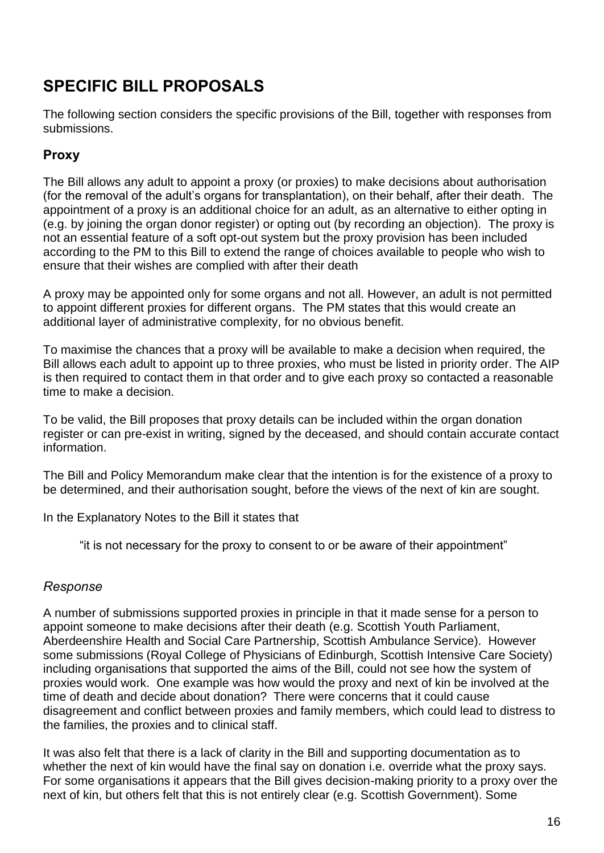# <span id="page-15-0"></span>**SPECIFIC BILL PROPOSALS**

The following section considers the specific provisions of the Bill, together with responses from submissions.

# <span id="page-15-1"></span>**Proxy**

The Bill allows any adult to appoint a proxy (or proxies) to make decisions about authorisation (for the removal of the adult's organs for transplantation), on their behalf, after their death. The appointment of a proxy is an additional choice for an adult, as an alternative to either opting in (e.g. by joining the organ donor register) or opting out (by recording an objection). The proxy is not an essential feature of a soft opt-out system but the proxy provision has been included according to the PM to this Bill to extend the range of choices available to people who wish to ensure that their wishes are complied with after their death

A proxy may be appointed only for some organs and not all. However, an adult is not permitted to appoint different proxies for different organs. The PM states that this would create an additional layer of administrative complexity, for no obvious benefit.

To maximise the chances that a proxy will be available to make a decision when required, the Bill allows each adult to appoint up to three proxies, who must be listed in priority order. The AIP is then required to contact them in that order and to give each proxy so contacted a reasonable time to make a decision.

To be valid, the Bill proposes that proxy details can be included within the organ donation register or can pre-exist in writing, signed by the deceased, and should contain accurate contact information.

The Bill and Policy Memorandum make clear that the intention is for the existence of a proxy to be determined, and their authorisation sought, before the views of the next of kin are sought.

In the Explanatory Notes to the Bill it states that

"it is not necessary for the proxy to consent to or be aware of their appointment"

### <span id="page-15-2"></span>*Response*

A number of submissions supported proxies in principle in that it made sense for a person to appoint someone to make decisions after their death (e.g. Scottish Youth Parliament, Aberdeenshire Health and Social Care Partnership, Scottish Ambulance Service). However some submissions (Royal College of Physicians of Edinburgh, Scottish Intensive Care Society) including organisations that supported the aims of the Bill, could not see how the system of proxies would work. One example was how would the proxy and next of kin be involved at the time of death and decide about donation? There were concerns that it could cause disagreement and conflict between proxies and family members, which could lead to distress to the families, the proxies and to clinical staff.

It was also felt that there is a lack of clarity in the Bill and supporting documentation as to whether the next of kin would have the final say on donation i.e. override what the proxy says. For some organisations it appears that the Bill gives decision-making priority to a proxy over the next of kin, but others felt that this is not entirely clear (e.g. Scottish Government). Some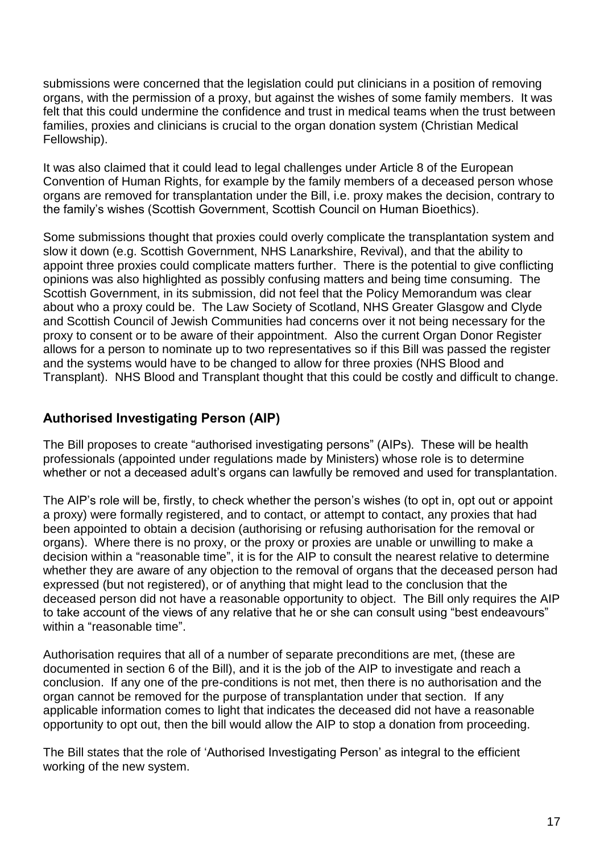submissions were concerned that the legislation could put clinicians in a position of removing organs, with the permission of a proxy, but against the wishes of some family members. It was felt that this could undermine the confidence and trust in medical teams when the trust between families, proxies and clinicians is crucial to the organ donation system (Christian Medical Fellowship).

It was also claimed that it could lead to legal challenges under Article 8 of the European Convention of Human Rights, for example by the family members of a deceased person whose organs are removed for transplantation under the Bill, i.e. proxy makes the decision, contrary to the family's wishes (Scottish Government, Scottish Council on Human Bioethics).

Some submissions thought that proxies could overly complicate the transplantation system and slow it down (e.g. Scottish Government, NHS Lanarkshire, Revival), and that the ability to appoint three proxies could complicate matters further. There is the potential to give conflicting opinions was also highlighted as possibly confusing matters and being time consuming. The Scottish Government, in its submission, did not feel that the Policy Memorandum was clear about who a proxy could be. The Law Society of Scotland, NHS Greater Glasgow and Clyde and Scottish Council of Jewish Communities had concerns over it not being necessary for the proxy to consent or to be aware of their appointment. Also the current Organ Donor Register allows for a person to nominate up to two representatives so if this Bill was passed the register and the systems would have to be changed to allow for three proxies (NHS Blood and Transplant). NHS Blood and Transplant thought that this could be costly and difficult to change.

# <span id="page-16-0"></span>**Authorised Investigating Person (AIP)**

The Bill proposes to create "authorised investigating persons" (AIPs). These will be health professionals (appointed under regulations made by Ministers) whose role is to determine whether or not a deceased adult's organs can lawfully be removed and used for transplantation.

The AIP's role will be, firstly, to check whether the person's wishes (to opt in, opt out or appoint a proxy) were formally registered, and to contact, or attempt to contact, any proxies that had been appointed to obtain a decision (authorising or refusing authorisation for the removal or organs). Where there is no proxy, or the proxy or proxies are unable or unwilling to make a decision within a "reasonable time", it is for the AIP to consult the nearest relative to determine whether they are aware of any objection to the removal of organs that the deceased person had expressed (but not registered), or of anything that might lead to the conclusion that the deceased person did not have a reasonable opportunity to object. The Bill only requires the AIP to take account of the views of any relative that he or she can consult using "best endeavours" within a "reasonable time".

Authorisation requires that all of a number of separate preconditions are met, (these are documented in section 6 of the Bill), and it is the job of the AIP to investigate and reach a conclusion. If any one of the pre-conditions is not met, then there is no authorisation and the organ cannot be removed for the purpose of transplantation under that section. If any applicable information comes to light that indicates the deceased did not have a reasonable opportunity to opt out, then the bill would allow the AIP to stop a donation from proceeding.

The Bill states that the role of 'Authorised Investigating Person' as integral to the efficient working of the new system.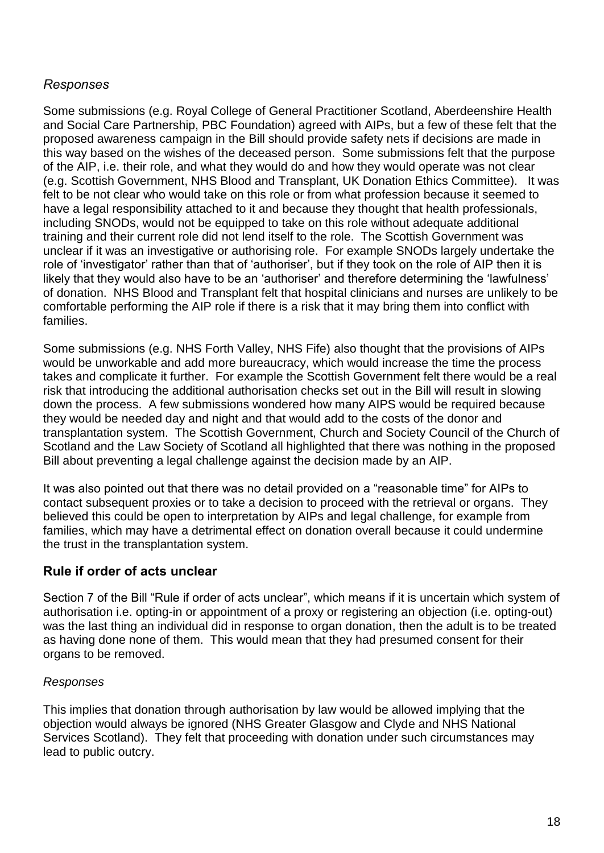### <span id="page-17-0"></span>*Responses*

Some submissions (e.g. Royal College of General Practitioner Scotland, Aberdeenshire Health and Social Care Partnership, PBC Foundation) agreed with AIPs, but a few of these felt that the proposed awareness campaign in the Bill should provide safety nets if decisions are made in this way based on the wishes of the deceased person. Some submissions felt that the purpose of the AIP, i.e. their role, and what they would do and how they would operate was not clear (e.g. Scottish Government, NHS Blood and Transplant, UK Donation Ethics Committee). It was felt to be not clear who would take on this role or from what profession because it seemed to have a legal responsibility attached to it and because they thought that health professionals, including SNODs, would not be equipped to take on this role without adequate additional training and their current role did not lend itself to the role. The Scottish Government was unclear if it was an investigative or authorising role. For example SNODs largely undertake the role of 'investigator' rather than that of 'authoriser', but if they took on the role of AIP then it is likely that they would also have to be an 'authoriser' and therefore determining the 'lawfulness' of donation. NHS Blood and Transplant felt that hospital clinicians and nurses are unlikely to be comfortable performing the AIP role if there is a risk that it may bring them into conflict with families.

Some submissions (e.g. NHS Forth Valley, NHS Fife) also thought that the provisions of AIPs would be unworkable and add more bureaucracy, which would increase the time the process takes and complicate it further. For example the Scottish Government felt there would be a real risk that introducing the additional authorisation checks set out in the Bill will result in slowing down the process. A few submissions wondered how many AIPS would be required because they would be needed day and night and that would add to the costs of the donor and transplantation system. The Scottish Government, Church and Society Council of the Church of Scotland and the Law Society of Scotland all highlighted that there was nothing in the proposed Bill about preventing a legal challenge against the decision made by an AIP.

It was also pointed out that there was no detail provided on a "reasonable time" for AIPs to contact subsequent proxies or to take a decision to proceed with the retrieval or organs. They believed this could be open to interpretation by AIPs and legal challenge, for example from families, which may have a detrimental effect on donation overall because it could undermine the trust in the transplantation system.

### <span id="page-17-1"></span>**Rule if order of acts unclear**

Section 7 of the Bill "Rule if order of acts unclear", which means if it is uncertain which system of authorisation i.e. opting-in or appointment of a proxy or registering an objection (i.e. opting-out) was the last thing an individual did in response to organ donation, then the adult is to be treated as having done none of them. This would mean that they had presumed consent for their organs to be removed.

#### *Responses*

This implies that donation through authorisation by law would be allowed implying that the objection would always be ignored (NHS Greater Glasgow and Clyde and NHS National Services Scotland). They felt that proceeding with donation under such circumstances may lead to public outcry.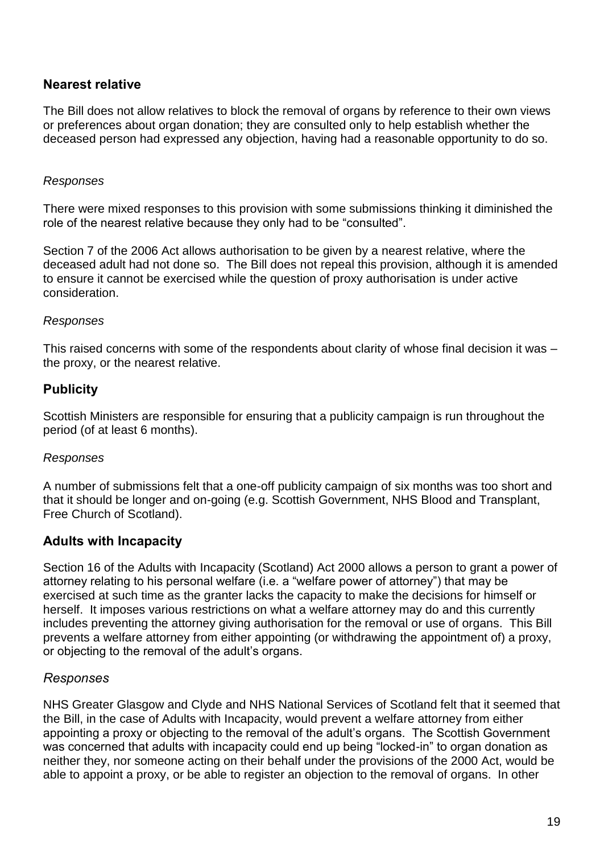### <span id="page-18-0"></span>**Nearest relative**

The Bill does not allow relatives to block the removal of organs by reference to their own views or preferences about organ donation; they are consulted only to help establish whether the deceased person had expressed any objection, having had a reasonable opportunity to do so.

#### *Responses*

There were mixed responses to this provision with some submissions thinking it diminished the role of the nearest relative because they only had to be "consulted".

Section 7 of the 2006 Act allows authorisation to be given by a nearest relative, where the deceased adult had not done so. The Bill does not repeal this provision, although it is amended to ensure it cannot be exercised while the question of proxy authorisation is under active consideration.

#### *Responses*

This raised concerns with some of the respondents about clarity of whose final decision it was – the proxy, or the nearest relative.

### <span id="page-18-1"></span>**Publicity**

Scottish Ministers are responsible for ensuring that a publicity campaign is run throughout the period (of at least 6 months).

#### *Responses*

A number of submissions felt that a one-off publicity campaign of six months was too short and that it should be longer and on-going (e.g. Scottish Government, NHS Blood and Transplant, Free Church of Scotland).

#### <span id="page-18-2"></span>**Adults with Incapacity**

Section 16 of the Adults with Incapacity (Scotland) Act 2000 allows a person to grant a power of attorney relating to his personal welfare (i.e. a "welfare power of attorney") that may be exercised at such time as the granter lacks the capacity to make the decisions for himself or herself. It imposes various restrictions on what a welfare attorney may do and this currently includes preventing the attorney giving authorisation for the removal or use of organs. This Bill prevents a welfare attorney from either appointing (or withdrawing the appointment of) a proxy, or objecting to the removal of the adult's organs.

#### <span id="page-18-3"></span>*Responses*

NHS Greater Glasgow and Clyde and NHS National Services of Scotland felt that it seemed that the Bill, in the case of Adults with Incapacity, would prevent a welfare attorney from either appointing a proxy or objecting to the removal of the adult's organs. The Scottish Government was concerned that adults with incapacity could end up being "locked-in" to organ donation as neither they, nor someone acting on their behalf under the provisions of the 2000 Act, would be able to appoint a proxy, or be able to register an objection to the removal of organs. In other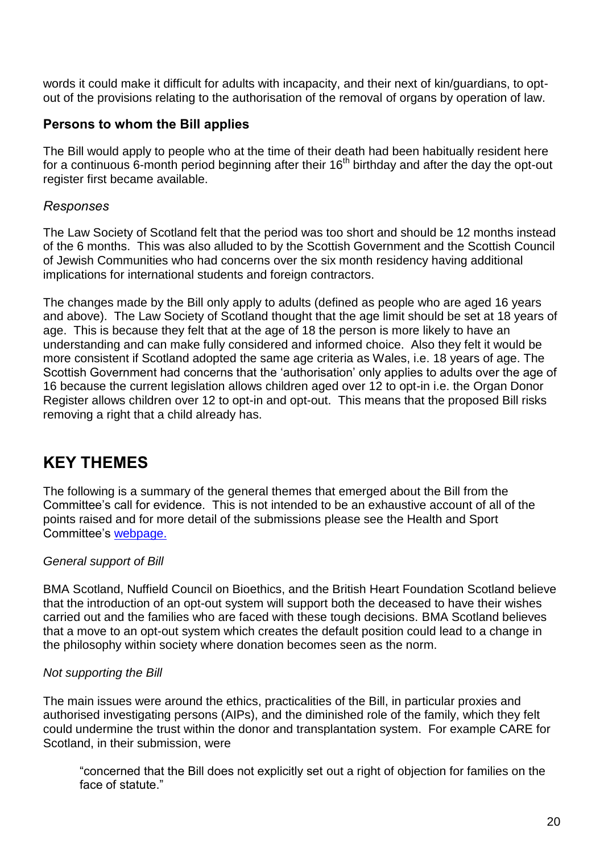words it could make it difficult for adults with incapacity, and their next of kin/guardians, to optout of the provisions relating to the authorisation of the removal of organs by operation of law.

### <span id="page-19-0"></span>**Persons to whom the Bill applies**

The Bill would apply to people who at the time of their death had been habitually resident here for a continuous 6-month period beginning after their  $16<sup>th</sup>$  birthday and after the day the opt-out register first became available.

### <span id="page-19-1"></span>*Responses*

The Law Society of Scotland felt that the period was too short and should be 12 months instead of the 6 months. This was also alluded to by the Scottish Government and the Scottish Council of Jewish Communities who had concerns over the six month residency having additional implications for international students and foreign contractors.

The changes made by the Bill only apply to adults (defined as people who are aged 16 years and above). The Law Society of Scotland thought that the age limit should be set at 18 years of age. This is because they felt that at the age of 18 the person is more likely to have an understanding and can make fully considered and informed choice. Also they felt it would be more consistent if Scotland adopted the same age criteria as Wales, i.e. 18 years of age. The Scottish Government had concerns that the 'authorisation' only applies to adults over the age of 16 because the current legislation allows children aged over 12 to opt-in i.e. the Organ Donor Register allows children over 12 to opt-in and opt-out. This means that the proposed Bill risks removing a right that a child already has.

# <span id="page-19-2"></span>**KEY THEMES**

The following is a summary of the general themes that emerged about the Bill from the Committee's call for evidence. This is not intended to be an exhaustive account of all of the points raised and for more detail of the submissions please see the Health and Sport Committee's [webpage.](http://www.scottish.parliament.uk/parliamentarybusiness/CurrentCommittees/93069.aspx)

#### *General support of Bill*

BMA Scotland, Nuffield Council on Bioethics, and the British Heart Foundation Scotland believe that the introduction of an opt-out system will support both the deceased to have their wishes carried out and the families who are faced with these tough decisions. BMA Scotland believes that a move to an opt-out system which creates the default position could lead to a change in the philosophy within society where donation becomes seen as the norm.

#### *Not supporting the Bill*

The main issues were around the ethics, practicalities of the Bill, in particular proxies and authorised investigating persons (AIPs), and the diminished role of the family, which they felt could undermine the trust within the donor and transplantation system. For example CARE for Scotland, in their submission, were

"concerned that the Bill does not explicitly set out a right of objection for families on the face of statute."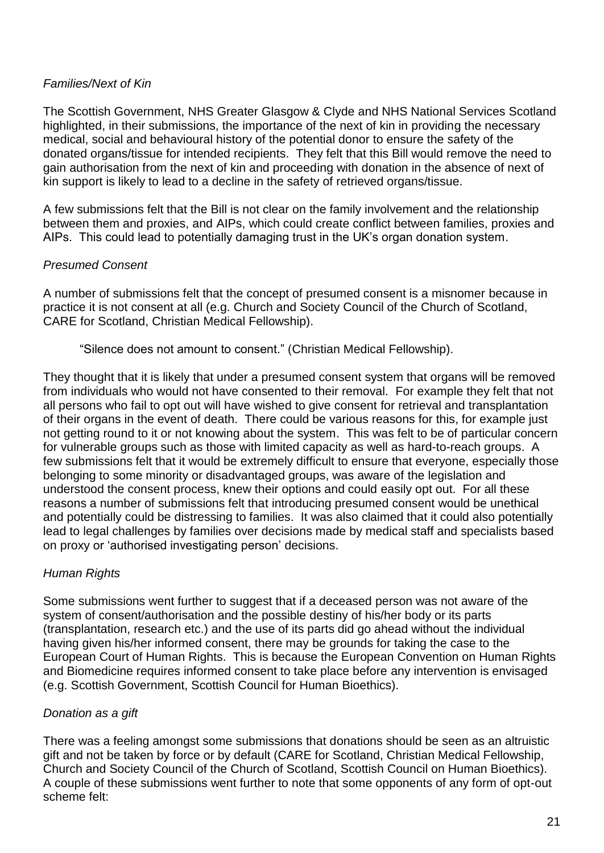### *Families/Next of Kin*

The Scottish Government, NHS Greater Glasgow & Clyde and NHS National Services Scotland highlighted, in their submissions, the importance of the next of kin in providing the necessary medical, social and behavioural history of the potential donor to ensure the safety of the donated organs/tissue for intended recipients. They felt that this Bill would remove the need to gain authorisation from the next of kin and proceeding with donation in the absence of next of kin support is likely to lead to a decline in the safety of retrieved organs/tissue.

A few submissions felt that the Bill is not clear on the family involvement and the relationship between them and proxies, and AIPs, which could create conflict between families, proxies and AIPs. This could lead to potentially damaging trust in the UK's organ donation system.

### *Presumed Consent*

A number of submissions felt that the concept of presumed consent is a misnomer because in practice it is not consent at all (e.g. Church and Society Council of the Church of Scotland, CARE for Scotland, Christian Medical Fellowship).

"Silence does not amount to consent." (Christian Medical Fellowship).

They thought that it is likely that under a presumed consent system that organs will be removed from individuals who would not have consented to their removal. For example they felt that not all persons who fail to opt out will have wished to give consent for retrieval and transplantation of their organs in the event of death. There could be various reasons for this, for example just not getting round to it or not knowing about the system. This was felt to be of particular concern for vulnerable groups such as those with limited capacity as well as hard-to-reach groups. A few submissions felt that it would be extremely difficult to ensure that everyone, especially those belonging to some minority or disadvantaged groups, was aware of the legislation and understood the consent process, knew their options and could easily opt out. For all these reasons a number of submissions felt that introducing presumed consent would be unethical and potentially could be distressing to families. It was also claimed that it could also potentially lead to legal challenges by families over decisions made by medical staff and specialists based on proxy or 'authorised investigating person' decisions.

### *Human Rights*

Some submissions went further to suggest that if a deceased person was not aware of the system of consent/authorisation and the possible destiny of his/her body or its parts (transplantation, research etc.) and the use of its parts did go ahead without the individual having given his/her informed consent, there may be grounds for taking the case to the European Court of Human Rights. This is because the European Convention on Human Rights and Biomedicine requires informed consent to take place before any intervention is envisaged (e.g. Scottish Government, Scottish Council for Human Bioethics).

#### *Donation as a gift*

There was a feeling amongst some submissions that donations should be seen as an altruistic gift and not be taken by force or by default (CARE for Scotland, Christian Medical Fellowship, Church and Society Council of the Church of Scotland, Scottish Council on Human Bioethics). A couple of these submissions went further to note that some opponents of any form of opt-out scheme felt: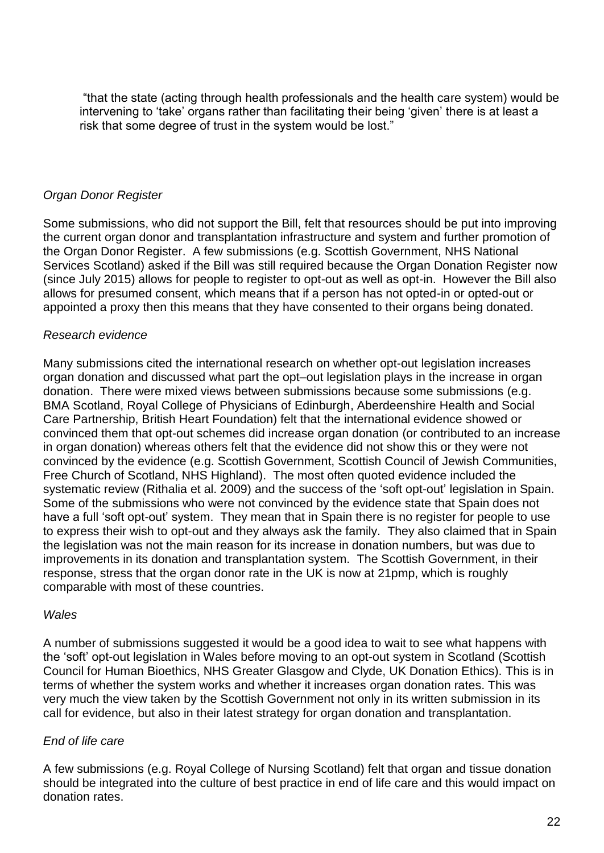"that the state (acting through health professionals and the health care system) would be intervening to 'take' organs rather than facilitating their being 'given' there is at least a risk that some degree of trust in the system would be lost."

#### *Organ Donor Register*

Some submissions, who did not support the Bill, felt that resources should be put into improving the current organ donor and transplantation infrastructure and system and further promotion of the Organ Donor Register. A few submissions (e.g. Scottish Government, NHS National Services Scotland) asked if the Bill was still required because the Organ Donation Register now (since July 2015) allows for people to register to opt-out as well as opt-in. However the Bill also allows for presumed consent, which means that if a person has not opted-in or opted-out or appointed a proxy then this means that they have consented to their organs being donated.

#### *Research evidence*

Many submissions cited the international research on whether opt-out legislation increases organ donation and discussed what part the opt–out legislation plays in the increase in organ donation. There were mixed views between submissions because some submissions (e.g. BMA Scotland, Royal College of Physicians of Edinburgh, Aberdeenshire Health and Social Care Partnership, British Heart Foundation) felt that the international evidence showed or convinced them that opt-out schemes did increase organ donation (or contributed to an increase in organ donation) whereas others felt that the evidence did not show this or they were not convinced by the evidence (e.g. Scottish Government, Scottish Council of Jewish Communities, Free Church of Scotland, NHS Highland). The most often quoted evidence included the systematic review (Rithalia et al. 2009) and the success of the 'soft opt-out' legislation in Spain. Some of the submissions who were not convinced by the evidence state that Spain does not have a full 'soft opt-out' system. They mean that in Spain there is no register for people to use to express their wish to opt-out and they always ask the family. They also claimed that in Spain the legislation was not the main reason for its increase in donation numbers, but was due to improvements in its donation and transplantation system. The Scottish Government, in their response, stress that the organ donor rate in the UK is now at 21pmp, which is roughly comparable with most of these countries.

#### *Wales*

A number of submissions suggested it would be a good idea to wait to see what happens with the 'soft' opt-out legislation in Wales before moving to an opt-out system in Scotland (Scottish Council for Human Bioethics, NHS Greater Glasgow and Clyde, UK Donation Ethics). This is in terms of whether the system works and whether it increases organ donation rates. This was very much the view taken by the Scottish Government not only in its written submission in its call for evidence, but also in their latest strategy for organ donation and transplantation.

#### *End of life care*

A few submissions (e.g. Royal College of Nursing Scotland) felt that organ and tissue donation should be integrated into the culture of best practice in end of life care and this would impact on donation rates.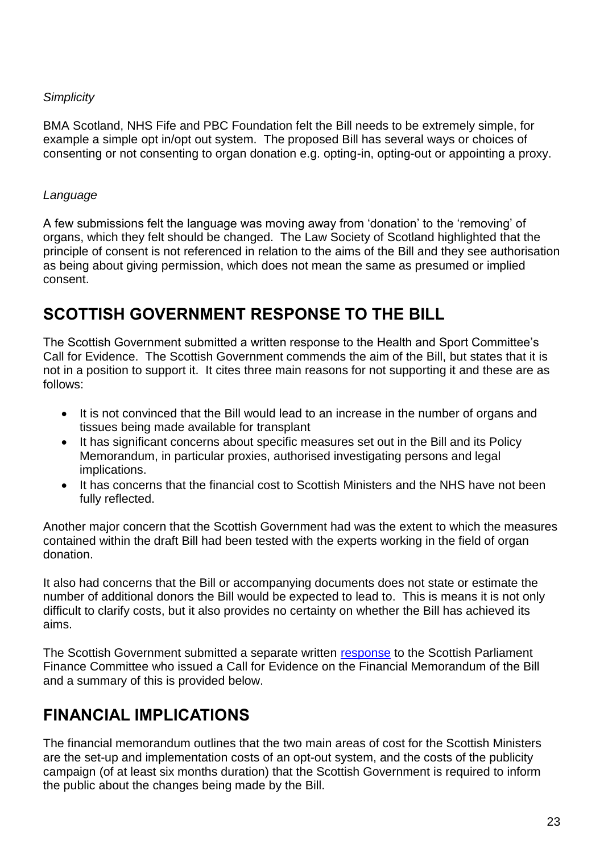#### *Simplicity*

BMA Scotland, NHS Fife and PBC Foundation felt the Bill needs to be extremely simple, for example a simple opt in/opt out system. The proposed Bill has several ways or choices of consenting or not consenting to organ donation e.g. opting-in, opting-out or appointing a proxy.

### *Language*

A few submissions felt the language was moving away from 'donation' to the 'removing' of organs, which they felt should be changed. The Law Society of Scotland highlighted that the principle of consent is not referenced in relation to the aims of the Bill and they see authorisation as being about giving permission, which does not mean the same as presumed or implied consent.

# <span id="page-22-0"></span>**SCOTTISH GOVERNMENT RESPONSE TO THE BILL**

The Scottish Government submitted a written response to the Health and Sport Committee's Call for Evidence. The Scottish Government commends the aim of the Bill, but states that it is not in a position to support it. It cites three main reasons for not supporting it and these are as follows:

- It is not convinced that the Bill would lead to an increase in the number of organs and tissues being made available for transplant
- It has significant concerns about specific measures set out in the Bill and its Policy Memorandum, in particular proxies, authorised investigating persons and legal implications.
- It has concerns that the financial cost to Scottish Ministers and the NHS have not been fully reflected.

Another major concern that the Scottish Government had was the extent to which the measures contained within the draft Bill had been tested with the experts working in the field of organ donation.

It also had concerns that the Bill or accompanying documents does not state or estimate the number of additional donors the Bill would be expected to lead to. This is means it is not only difficult to clarify costs, but it also provides no certainty on whether the Bill has achieved its aims.

The Scottish Government submitted a separate written [response](http://www.scottish.parliament.uk/S4_HealthandSportCommittee/Inquiries/TRA010-SGov.pdf) to the Scottish Parliament Finance Committee who issued a Call for Evidence on the Financial Memorandum of the Bill and a summary of this is provided below.

# <span id="page-22-1"></span>**FINANCIAL IMPLICATIONS**

The financial memorandum outlines that the two main areas of cost for the Scottish Ministers are the set-up and implementation costs of an opt-out system, and the costs of the publicity campaign (of at least six months duration) that the Scottish Government is required to inform the public about the changes being made by the Bill.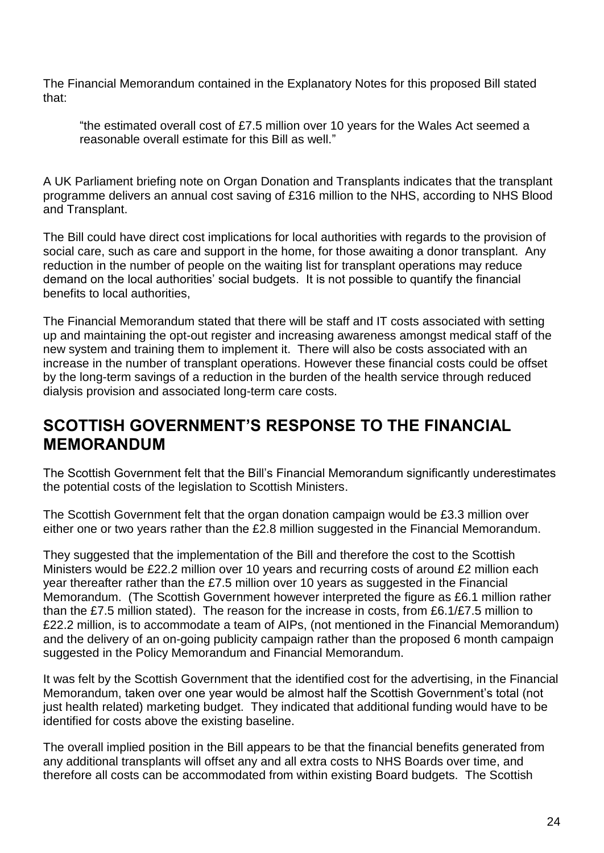The Financial Memorandum contained in the Explanatory Notes for this proposed Bill stated that:

"the estimated overall cost of £7.5 million over 10 years for the Wales Act seemed a reasonable overall estimate for this Bill as well."

A UK Parliament briefing note on Organ Donation and Transplants indicates that the transplant programme delivers an annual cost saving of £316 million to the NHS, according to NHS Blood and Transplant.

The Bill could have direct cost implications for local authorities with regards to the provision of social care, such as care and support in the home, for those awaiting a donor transplant. Any reduction in the number of people on the waiting list for transplant operations may reduce demand on the local authorities' social budgets. It is not possible to quantify the financial benefits to local authorities,

The Financial Memorandum stated that there will be staff and IT costs associated with setting up and maintaining the opt-out register and increasing awareness amongst medical staff of the new system and training them to implement it. There will also be costs associated with an increase in the number of transplant operations. However these financial costs could be offset by the long-term savings of a reduction in the burden of the health service through reduced dialysis provision and associated long-term care costs.

# <span id="page-23-0"></span>**SCOTTISH GOVERNMENT'S RESPONSE TO THE FINANCIAL MEMORANDUM**

The Scottish Government felt that the Bill's Financial Memorandum significantly underestimates the potential costs of the legislation to Scottish Ministers.

The Scottish Government felt that the organ donation campaign would be £3.3 million over either one or two years rather than the £2.8 million suggested in the Financial Memorandum.

They suggested that the implementation of the Bill and therefore the cost to the Scottish Ministers would be £22.2 million over 10 years and recurring costs of around £2 million each year thereafter rather than the £7.5 million over 10 years as suggested in the Financial Memorandum. (The Scottish Government however interpreted the figure as £6.1 million rather than the £7.5 million stated). The reason for the increase in costs, from £6.1/£7.5 million to £22.2 million, is to accommodate a team of AIPs, (not mentioned in the Financial Memorandum) and the delivery of an on-going publicity campaign rather than the proposed 6 month campaign suggested in the Policy Memorandum and Financial Memorandum.

It was felt by the Scottish Government that the identified cost for the advertising, in the Financial Memorandum, taken over one year would be almost half the Scottish Government's total (not just health related) marketing budget. They indicated that additional funding would have to be identified for costs above the existing baseline.

The overall implied position in the Bill appears to be that the financial benefits generated from any additional transplants will offset any and all extra costs to NHS Boards over time, and therefore all costs can be accommodated from within existing Board budgets. The Scottish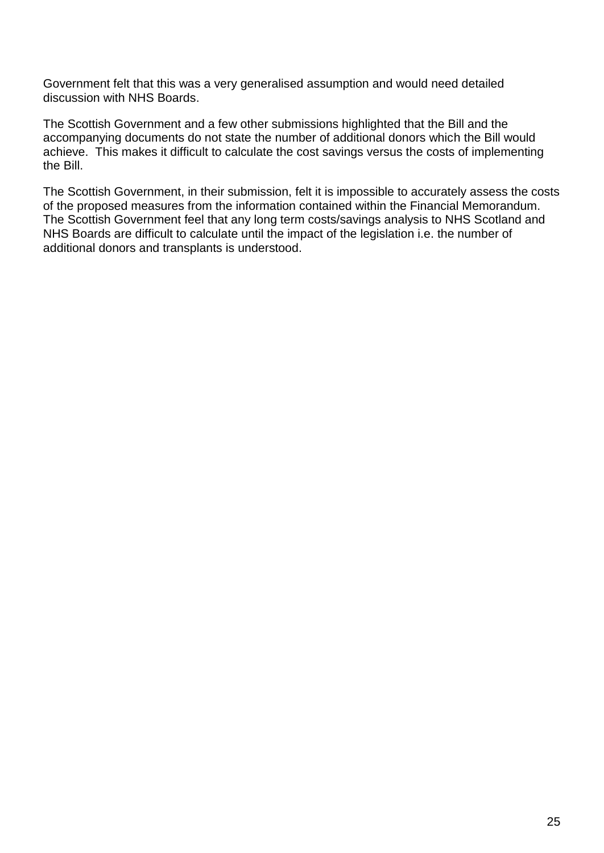Government felt that this was a very generalised assumption and would need detailed discussion with NHS Boards.

The Scottish Government and a few other submissions highlighted that the Bill and the accompanying documents do not state the number of additional donors which the Bill would achieve. This makes it difficult to calculate the cost savings versus the costs of implementing the Bill.

The Scottish Government, in their submission, felt it is impossible to accurately assess the costs of the proposed measures from the information contained within the Financial Memorandum. The Scottish Government feel that any long term costs/savings analysis to NHS Scotland and NHS Boards are difficult to calculate until the impact of the legislation i.e. the number of additional donors and transplants is understood.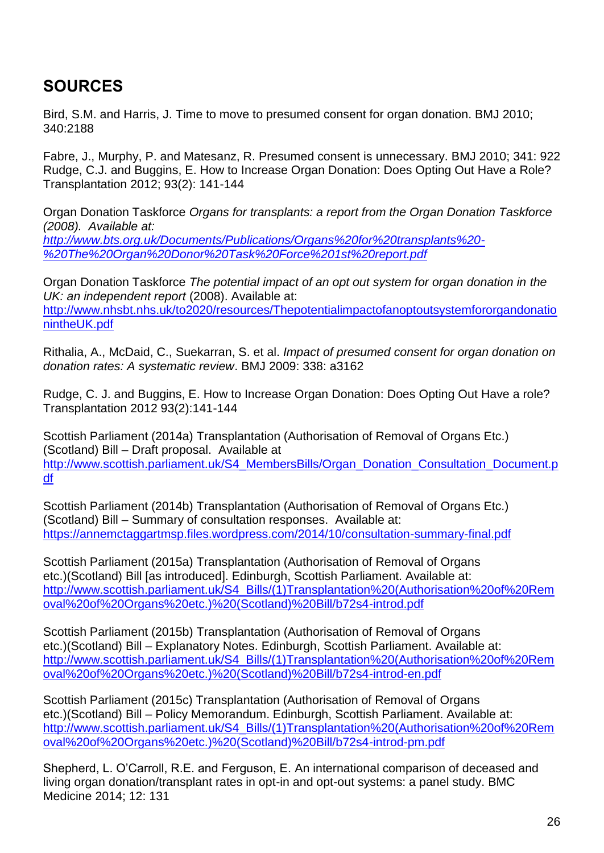# <span id="page-25-0"></span>**SOURCES**

Bird, S.M. and Harris, J. Time to move to presumed consent for organ donation. BMJ 2010; 340:2188

Fabre, J., Murphy, P. and Matesanz, R. Presumed consent is unnecessary. BMJ 2010; 341: 922 Rudge, C.J. and Buggins, E. How to Increase Organ Donation: Does Opting Out Have a Role? Transplantation 2012; 93(2): 141-144

Organ Donation Taskforce *Organs for transplants: a report from the Organ Donation Taskforce (2008). Available at: [http://www.bts.org.uk/Documents/Publications/Organs%20for%20transplants%20-](http://www.bts.org.uk/Documents/Publications/Organs%20for%20transplants%20-%20The%20Organ%20Donor%20Task%20Force%201st%20report.pdf)*

*[%20The%20Organ%20Donor%20Task%20Force%201st%20report.pdf](http://www.bts.org.uk/Documents/Publications/Organs%20for%20transplants%20-%20The%20Organ%20Donor%20Task%20Force%201st%20report.pdf)*

Organ Donation Taskforce *The potential impact of an opt out system for organ donation in the UK: an independent report* (2008). Available at: [http://www.nhsbt.nhs.uk/to2020/resources/Thepotentialimpactofanoptoutsystemfororgandonatio](http://www.nhsbt.nhs.uk/to2020/resources/ThepotentialimpactofanoptoutsystemfororgandonationintheUK.pdf) [nintheUK.pdf](http://www.nhsbt.nhs.uk/to2020/resources/ThepotentialimpactofanoptoutsystemfororgandonationintheUK.pdf)

Rithalia, A., McDaid, C., Suekarran, S. et al. *Impact of presumed consent for organ donation on donation rates: A systematic review*. BMJ 2009: 338: a3162

Rudge, C. J. and Buggins, E. How to Increase Organ Donation: Does Opting Out Have a role? Transplantation 2012 93(2):141-144

Scottish Parliament (2014a) Transplantation (Authorisation of Removal of Organs Etc.) (Scotland) Bill – Draft proposal. Available at [http://www.scottish.parliament.uk/S4\\_MembersBills/Organ\\_Donation\\_Consultation\\_Document.p](http://www.scottish.parliament.uk/S4_MembersBills/Organ_Donation_Consultation_Document.pdf) [df](http://www.scottish.parliament.uk/S4_MembersBills/Organ_Donation_Consultation_Document.pdf)

Scottish Parliament (2014b) Transplantation (Authorisation of Removal of Organs Etc.) (Scotland) Bill – Summary of consultation responses. Available at: <https://annemctaggartmsp.files.wordpress.com/2014/10/consultation-summary-final.pdf>

Scottish Parliament (2015a) Transplantation (Authorisation of Removal of Organs etc.)(Scotland) Bill [as introduced]. Edinburgh, Scottish Parliament. Available at: [http://www.scottish.parliament.uk/S4\\_Bills/\(1\)Transplantation%20\(Authorisation%20of%20Rem](http://www.scottish.parliament.uk/S4_Bills/(1)Transplantation%20(Authorisation%20of%20Removal%20of%20Organs%20etc.)%20(Scotland)%20Bill/b72s4-introd.pdf) [oval%20of%20Organs%20etc.\)%20\(Scotland\)%20Bill/b72s4-introd.pdf](http://www.scottish.parliament.uk/S4_Bills/(1)Transplantation%20(Authorisation%20of%20Removal%20of%20Organs%20etc.)%20(Scotland)%20Bill/b72s4-introd.pdf)

Scottish Parliament (2015b) Transplantation (Authorisation of Removal of Organs etc.)(Scotland) Bill – Explanatory Notes. Edinburgh, Scottish Parliament. Available at: [http://www.scottish.parliament.uk/S4\\_Bills/\(1\)Transplantation%20\(Authorisation%20of%20Rem](http://www.scottish.parliament.uk/S4_Bills/(1)Transplantation%20(Authorisation%20of%20Removal%20of%20Organs%20etc.)%20(Scotland)%20Bill/b72s4-introd-en.pdf) [oval%20of%20Organs%20etc.\)%20\(Scotland\)%20Bill/b72s4-introd-en.pdf](http://www.scottish.parliament.uk/S4_Bills/(1)Transplantation%20(Authorisation%20of%20Removal%20of%20Organs%20etc.)%20(Scotland)%20Bill/b72s4-introd-en.pdf)

Scottish Parliament (2015c) Transplantation (Authorisation of Removal of Organs etc.)(Scotland) Bill – Policy Memorandum. Edinburgh, Scottish Parliament. Available at: [http://www.scottish.parliament.uk/S4\\_Bills/\(1\)Transplantation%20\(Authorisation%20of%20Rem](http://www.scottish.parliament.uk/S4_Bills/(1)Transplantation%20(Authorisation%20of%20Removal%20of%20Organs%20etc.)%20(Scotland)%20Bill/b72s4-introd-pm.pdf) [oval%20of%20Organs%20etc.\)%20\(Scotland\)%20Bill/b72s4-introd-pm.pdf](http://www.scottish.parliament.uk/S4_Bills/(1)Transplantation%20(Authorisation%20of%20Removal%20of%20Organs%20etc.)%20(Scotland)%20Bill/b72s4-introd-pm.pdf)

Shepherd, L. O'Carroll, R.E. and Ferguson, E. An international comparison of deceased and living organ donation/transplant rates in opt-in and opt-out systems: a panel study. BMC Medicine 2014; 12: 131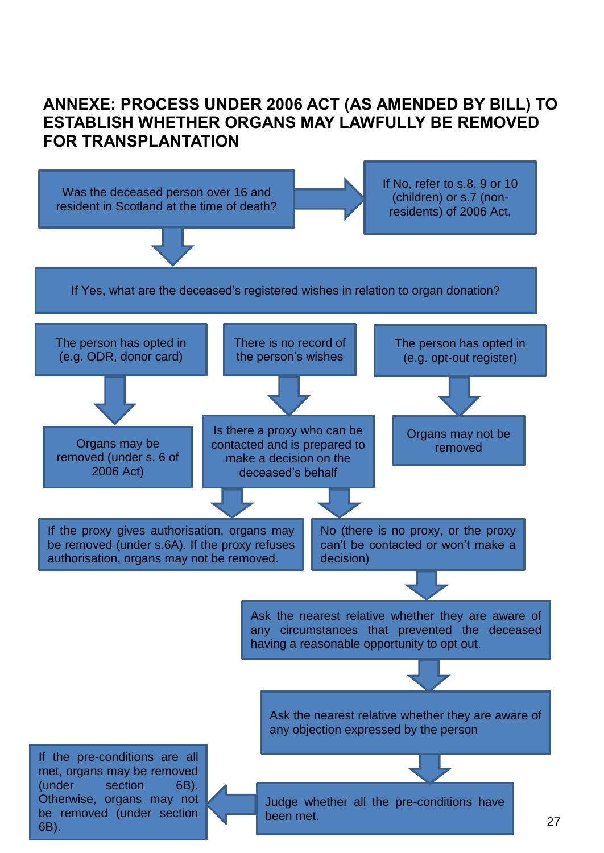# <span id="page-26-0"></span>**ANNEXE: PROCESS UNDER 2006 ACT (AS AMENDED BY BILL) TO ESTABLISH WHETHER ORGANS MAY LAWFULLY BE REMOVED FOR TRANSPLANTATION**